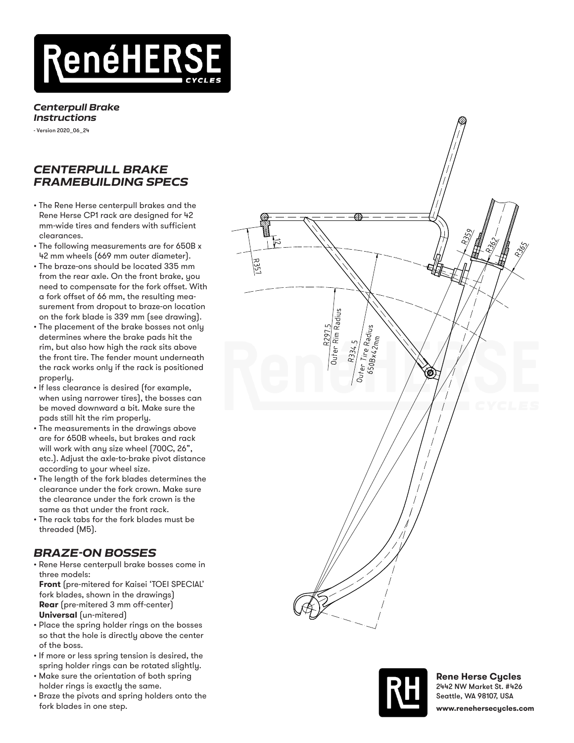

## *Centerpull Brake Instructions*

- Version 2020\_06\_24

## *CENTERPULL BRAKE FRAMEBUILDING SPECS*

- The Rene Herse centerpull brakes and the Rene Herse CP1 rack are designed for 42 mm-wide tires and fenders with sufficient clearances.
- The following measurements are for 650B x 42 mm wheels (669 mm outer diameter).
- The braze-ons should be located 335 mm from the rear axle. On the front brake, you need to compensate for the fork offset. With a fork offset of 66 mm, the resulting mea surement from dropout to braze-on location on the fork blade is 339 mm (see drawing).
- The placement of the brake bosses not only determines where the brake pads hit the rim, but also how high the rack sits above the front tire. The fender mount underneath the rack works only if the rack is positioned properly.
- If less clearance is desired (for example, when using narrower tires), the bosses can be moved downward a bit. Make sure the pads still hit the rim properly.
- The measurements in the drawings above are for 650B wheels, but brakes and rack will work with any size wheel (700C, 26", etc.). Adjust the axle-to-brake pivot distance according to your wheel size.
- The length of the fork blades determines the clearance under the fork crown. Make sure the clearance under the fork crown is the same as that under the front rack.
- The rack tabs for the fork blades must be threaded (M5).

## *BRAZE-ON BOSSES*

• Rene Herse centerpull brake bosses come in three models:

**Front** (pre-mitered for Kaisei 'TOEI SPECIAL' fork blades, shown in the drawings) **Rear** (pre-mitered 3 mm off-center) **Universal** (un-mitered)

- Place the spring holder rings on the bosses so that the hole is directly above the center of the boss.
- If more or less spring tension is desired, the spring holder rings can be rotated slightly.
- Make sure the orientation of both spring holder rings is exactly the same.
- Braze the pivots and spring holders onto the fork blades in one step.





**Rene Herse Cycles** 2442 NW Market St. #426 Seattle, WA 98107, USA **www.renehersecycles.com**